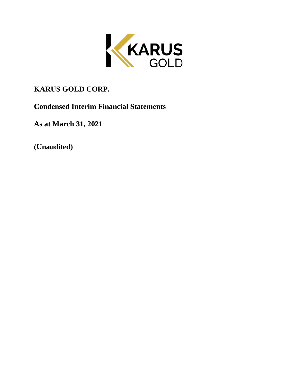

# **KARUS GOLD CORP.**

**Condensed Interim Financial Statements**

**As at March 31, 2021**

**(Unaudited)**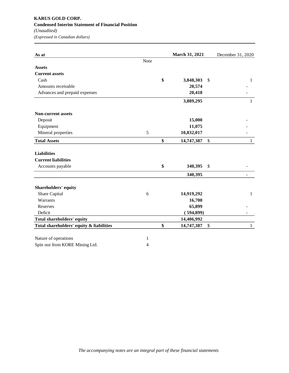# **KARUS GOLD CORP. Condensed Interim Statement of Financial Position** *(Unaudited)*

*(Expressed in Canadian dollars)*

| As at                                    |                | March 31, 2021   | December 31, 2020  |
|------------------------------------------|----------------|------------------|--------------------|
|                                          | Note           |                  |                    |
| <b>Assets</b>                            |                |                  |                    |
| <b>Current assets</b>                    |                |                  |                    |
| Cash                                     |                | \$<br>3,848,303  | \$<br>1            |
| Amounts receivable                       |                | 20,574           |                    |
| Advances and prepaid expenses            |                | 20,418           |                    |
|                                          |                | 3,889,295        | $\mathbf{1}$       |
| <b>Non-current assets</b>                |                |                  |                    |
| Deposit                                  |                | 15,000           |                    |
| Equipment                                |                | 11,075           |                    |
| Mineral properties                       | 5              | 10,832,017       |                    |
| <b>Total Assets</b>                      |                | \$<br>14,747,387 | \$<br>$\mathbf{1}$ |
| <b>Liabilities</b>                       |                |                  |                    |
| <b>Current liabilities</b>               |                |                  |                    |
| Accounts payable                         |                | \$<br>340,395    | \$                 |
|                                          |                | 340,395          |                    |
| Shareholders' equity                     |                |                  |                    |
| Share Capital                            | 6              | 14,919,292       | 1                  |
| Warrants                                 |                | 16,700           |                    |
| Reserves                                 |                | 65,899           |                    |
| Deficit                                  |                | (594, 899)       |                    |
| Total shareholders' equity               |                | 14,406,992       |                    |
| Total shareholders' equity & liabilities |                | \$<br>14,747,387 | \$<br>$\mathbf{1}$ |
| Nature of operations                     | 1              |                  |                    |
| Spin out from KORE Mining Ltd.           | $\overline{4}$ |                  |                    |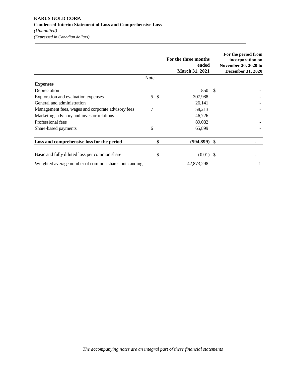|                                                      |             |                 | For the three months<br>ended<br><b>March 31, 2021</b> |    | For the period from<br>incorporation on<br>November 20, 2020 to<br><b>December 31, 2020</b> |
|------------------------------------------------------|-------------|-----------------|--------------------------------------------------------|----|---------------------------------------------------------------------------------------------|
|                                                      | <b>Note</b> |                 |                                                        |    |                                                                                             |
| <b>Expenses</b>                                      |             |                 |                                                        |    |                                                                                             |
| Depreciation                                         |             |                 | 850                                                    | -S |                                                                                             |
| Exploration and evaluation expenses                  |             | $5 \text{ }$ \$ | 307,988                                                |    |                                                                                             |
| General and administration                           |             |                 | 26,141                                                 |    |                                                                                             |
| Management fees, wages and corporate advisory fees   | 7           |                 | 58,213                                                 |    |                                                                                             |
| Marketing, advisory and investor relations           |             |                 | 46,726                                                 |    |                                                                                             |
| Professional fees                                    |             |                 | 89,082                                                 |    |                                                                                             |
| Share-based payments                                 | 6           |                 | 65,899                                                 |    |                                                                                             |
| Loss and comprehensive loss for the period           |             | \$              | $(594,899)$ \$                                         |    |                                                                                             |
| Basic and fully diluted loss per common share        |             | \$              | $(0.01)$ \$                                            |    |                                                                                             |
| Weighted average number of common shares outstanding |             |                 | 42,873,298                                             |    |                                                                                             |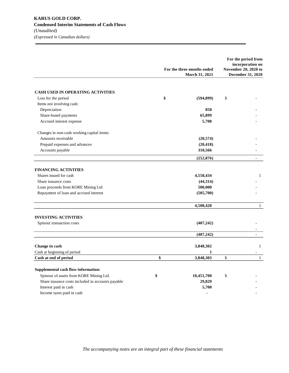|                                                   | For the three months ended | For the period from<br>incorporation on<br>November 20, 2020 to |
|---------------------------------------------------|----------------------------|-----------------------------------------------------------------|
|                                                   | <b>March 31, 2021</b>      | December 31, 2020                                               |
| <b>CASH USED IN OPERATING ACTIVITIES</b>          |                            |                                                                 |
| Loss for the period                               | \$<br>(594, 899)           | \$                                                              |
| Items not involving cash:                         |                            |                                                                 |
| Depreciation                                      | 850                        |                                                                 |
| Share-based payments                              | 65,899                     |                                                                 |
| Accrued interest expense                          | 5,700                      |                                                                 |
| Changes in non-cash working capital items:        |                            |                                                                 |
| Amounts receivable                                | (20, 574)                  |                                                                 |
| Prepaid expenses and advances                     | (20, 418)                  |                                                                 |
| Accounts payable                                  | 310,566                    |                                                                 |
|                                                   | (252, 876)                 | $\overline{a}$                                                  |
| <b>FINANCING ACTIVITIES</b>                       |                            |                                                                 |
| Shares issued for cash                            | 4,558,434                  | $\mathbf{1}$                                                    |
| Share issuance costs                              | (44,314)                   |                                                                 |
| Loan proceeds from KORE Mining Ltd                | 500,000                    |                                                                 |
| Repayment of loan and accrued interest            | (505, 700)                 |                                                                 |
|                                                   | 4,508,420                  | $\mathbf{1}$                                                    |
| <b>INVESTING ACTIVITIES</b>                       |                            |                                                                 |
| Spinout transaction costs                         | (407, 242)                 |                                                                 |
|                                                   | (407, 242)                 | $\overline{a}$                                                  |
|                                                   |                            |                                                                 |
| Change in cash                                    | 3,848,302                  | 1                                                               |
| Cash at beginning of period                       | 1                          |                                                                 |
| Cash at end of period                             | \$<br>3,848,303            | \$<br>1                                                         |
| Supplemental cash flow information:               |                            |                                                                 |
| Spinout of assets from KORE Mining Ltd.           | \$<br>10,451,700           | \$                                                              |
| Share issuance costs included in accounts payable | 29,829                     |                                                                 |
| Interest paid in cash                             | 5,700                      |                                                                 |
| Income taxes paid in cash                         | ٠                          |                                                                 |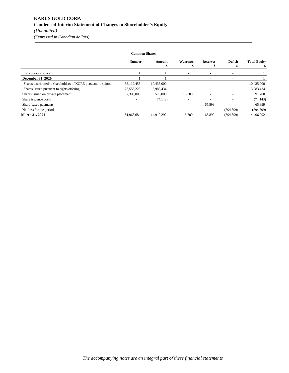# **KARUS GOLD CORP. Condensed Interim Statement of Changes in Shareholder's Equity** *(Unaudited)*

*(Expressed in Canadian dollars)*

|                                                                | <b>Common Shares</b> |             |                          |                          |                          |                     |  |  |
|----------------------------------------------------------------|----------------------|-------------|--------------------------|--------------------------|--------------------------|---------------------|--|--|
|                                                                | <b>Number</b>        | Amount<br>S | Warrants                 | <b>Reserves</b><br>э     | <b>Deficit</b>           | <b>Total Equity</b> |  |  |
| Incorporation share                                            |                      |             | $\overline{\phantom{a}}$ | $\overline{\phantom{a}}$ | $\overline{\phantom{a}}$ |                     |  |  |
| <b>December 31, 2020</b>                                       |                      |             | $\overline{\phantom{0}}$ | -                        | $\overline{\phantom{a}}$ |                     |  |  |
| Shares distributed to shareholders of KORE pursuant to spinout | 53,112,455           | 10,435,000  |                          |                          | $\overline{\phantom{a}}$ | 10,435,000          |  |  |
| Shares issued pursuant to rights offering                      | 26,556,228           | 3,983,434   |                          |                          |                          | 3,983,434           |  |  |
| Shares issued on private placement                             | 2,300,000            | 575,000     | 16,700                   |                          |                          | 591,700             |  |  |
| Share issuance costs                                           |                      | (74, 143)   | $\overline{\phantom{0}}$ |                          |                          | (74, 143)           |  |  |
| Share-based payments                                           |                      |             | $\overline{\phantom{a}}$ | 65,899                   |                          | 65,899              |  |  |
| Net loss for the period                                        |                      |             |                          | $\overline{\phantom{a}}$ | (594, 899)               | (594, 899)          |  |  |
| <b>March 31, 2021</b>                                          | 81,968,684           | 14.919.292  | 16,700                   | 65,899                   | (594, 899)               | 14.406.992          |  |  |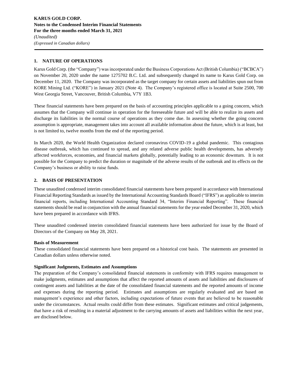# **1. NATURE OF OPERATIONS**

Karus Gold Corp. (the "Company") was incorporated under the Business Corporations Act (British Columbia) ("BCBCA") on November 20, 2020 under the name 1275702 B.C. Ltd. and subsequently changed its name to Karus Gold Corp. on December 11, 2020. The Company was incorporated as the target company for certain assets and liabilities spun out from KORE Mining Ltd. ("KORE") in January 2021 (Note 4). The Company's registered office is located at Suite 2500, 700 West Georgia Street, Vancouver, British Columbia, V7Y 1B3.

These financial statements have been prepared on the basis of accounting principles applicable to a going concern, which assumes that the Company will continue in operation for the foreseeable future and will be able to realize its assets and discharge its liabilities in the normal course of operations as they come due. In assessing whether the going concern assumption is appropriate, management takes into account all available information about the future, which is at least, but is not limited to, twelve months from the end of the reporting period.

In March 2020, the World Health Organization declared coronavirus COVID-19 a global pandemic. This contagious disease outbreak, which has continued to spread, and any related adverse public health developments, has adversely affected workforces, economies, and financial markets globally, potentially leading to an economic downturn. It is not possible for the Company to predict the duration or magnitude of the adverse results of the outbreak and its effects on the Company's business or ability to raise funds.

# **2. BASIS OF PRESENTATION**

These unaudited condensed interim consolidated financial statements have been prepared in accordance with International Financial Reporting Standards as issued by the International Accounting Standards Board ("IFRS") as applicable to interim financial reports, including International Accounting Standard 34, "Interim Financial Reporting". These financial statements should be read in conjunction with the annual financial statements for the year ended December 31, 2020, which have been prepared in accordance with IFRS.

These unaudited condensed interim consolidated financial statements have been authorized for issue by the Board of Directors of the Company on May 28, 2021.

# **Basis of Measurement**

These consolidated financial statements have been prepared on a historical cost basis. The statements are presented in Canadian dollars unless otherwise noted.

# **Significant Judgments, Estimates and Assumptions**

The preparation of the Company's consolidated financial statements in conformity with IFRS requires management to make judgments, estimates and assumptions that affect the reported amounts of assets and liabilities and disclosures of contingent assets and liabilities at the date of the consolidated financial statements and the reported amounts of income and expenses during the reporting period. Estimates and assumptions are regularly evaluated and are based on management's experience and other factors, including expectations of future events that are believed to be reasonable under the circumstances. Actual results could differ from these estimates. Significant estimates and critical judgements, that have a risk of resulting in a material adjustment to the carrying amounts of assets and liabilities within the next year, are disclosed below.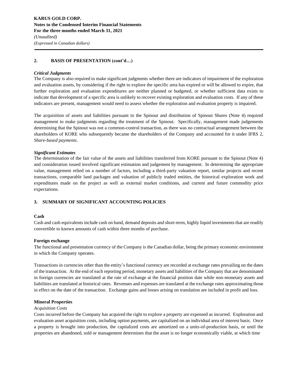# **2. BASIS OF PRESENTATION (cont'd…)**

#### *Critical Judgments*

The Company is also required to make significant judgments whether there are indicators of impairment of the exploration and evaluation assets, by considering if the right to explore the specific area has expired or will be allowed to expire, that further exploration and evaluation expenditures are neither planned or budgeted, or whether sufficient data exists to indicate that development of a specific area is unlikely to recover existing exploration and evaluation costs. If any of these indicators are present, management would need to assess whether the exploration and evaluation property is impaired.

The acquisition of assets and liabilities pursuant to the Spinout and distribution of Spinout Shares (Note 4) required management to make judgments regarding the treatment of the Spinout. Specifically, management made judgements determining that the Spinout was not a common-control transaction, as there was no contractual arrangement between the shareholders of KORE who subsequently became the shareholders of the Company and accounted for it under IFRS 2, *Share-based payments*.

# *Significant Estimates*

The determination of the fair value of the assets and liabilities transferred from KORE pursuant to the Spinout (Note 4) and consideration issued involved significant estimation and judgement by management. In determining the appropriate value, management relied on a number of factors, including a third-party valuation report, similar projects and recent transactions, comparable land packages and valuation of publicly traded entities, the historical exploration work and expenditures made on the project as well as external market conditions, and current and future commodity price expectations.

# **3. SUMMARY OF SIGNIFICANT ACCOUNTING POLICIES**

# **Cash**

Cash and cash equivalents include cash on hand, demand deposits and short-term, highly liquid investments that are readily convertible to known amounts of cash within three months of purchase.

# **Foreign exchange**

The functional and presentation currency of the Company is the Canadian dollar, being the primary economic environment in which the Company operates.

Transactions in currencies other than the entity's functional currency are recorded at exchange rates prevailing on the dates of the transaction. At the end of each reporting period, monetary assets and liabilities of the Company that are denominated in foreign currencies are translated at the rate of exchange at the financial position date while non-monetary assets and liabilities are translated at historical rates. Revenues and expenses are translated at the exchange rates approximating those in effect on the date of the transaction. Exchange gains and losses arising on translation are included in profit and loss.

# **Mineral Properties**

#### *Acquisition Costs*

Costs incurred before the Company has acquired the right to explore a property are expensed as incurred. Exploration and evaluation asset acquisition costs, including option payments, are capitalized on an individual area of interest basis. Once a property is brought into production, the capitalized costs are amortized on a units-of-production basis, or until the properties are abandoned, sold or management determines that the asset is no longer economically viable, at which time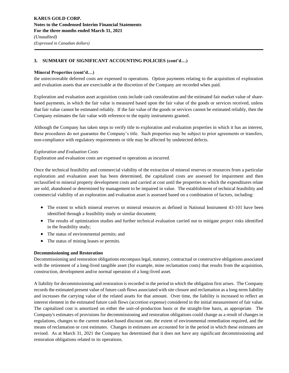# **Mineral Properties (cont'd…)**

the unrecoverable deferred costs are expensed to operations. Option payments relating to the acquisition of exploration and evaluation assets that are exercisable at the discretion of the Company are recorded when paid.

Exploration and evaluation asset acquisition costs include cash consideration and the estimated fair market value of sharebased payments, in which the fair value is measured based upon the fair value of the goods or services received, unless that fair value cannot be estimated reliably. If the fair value of the goods or services cannot be estimated reliably, then the Company estimates the fair value with reference to the equity instruments granted.

Although the Company has taken steps to verify title to exploration and evaluation properties in which it has an interest, these procedures do not guarantee the Company's title. Such properties may be subject to prior agreements or transfers, non-compliance with regulatory requirements or title may be affected by undetected defects.

## *Exploration and Evaluation Costs*

Exploration and evaluation costs are expensed to operations as incurred.

Once the technical feasibility and commercial viability of the extraction of mineral reserves or resources from a particular exploration and evaluation asset has been determined, the capitalized costs are assessed for impairment and then reclassified to mineral property development costs and carried at cost until the properties to which the expenditures relate are sold, abandoned or determined by management to be impaired in value. The establishment of technical feasibility and commercial viability of an exploration and evaluation asset is assessed based on a combination of factors, including:

- The extent to which mineral reserves or mineral resources as defined in National Instrument 43-101 have been identified through a feasibility study or similar document;
- The results of optimization studies and further technical evaluation carried out to mitigate project risks identified in the feasibility study;
- The status of environmental permits; and
- The status of mining leases or permits.

# **Decommissioning and Restoration**

Decommissioning and restoration obligations encompass legal, statutory, contractual or constructive obligations associated with the retirement of a long-lived tangible asset (for example, mine reclamation costs) that results from the acquisition, construction, development and/or normal operation of a long-lived asset.

A liability for decommissioning and restoration is recorded in the period in which the obligation first arises. The Company records the estimated present value of future cash flows associated with site closure and reclamation as a long-term liability and increases the carrying value of the related assets for that amount. Over time, the liability is increased to reflect an interest element in the estimated future cash flows (accretion expense) considered in the initial measurement of fair value. The capitalized cost is amortized on either the unit-of-production basis or the straight-line basis, as appropriate. The Company's estimates of provisions for decommissioning and restoration obligations could change as a result of changes in regulations, changes to the current market-based discount rate, the extent of environmental remediation required, and the means of reclamation or cost estimates. Changes in estimates are accounted for in the period in which these estimates are revised. As at March 31, 2021 the Company has determined that it does not have any significant decommissioning and restoration obligations related to its operations.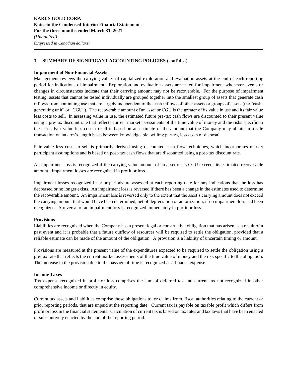#### **Impairment of Non-Financial Assets**

Management reviews the carrying values of capitalized exploration and evaluation assets at the end of each reporting period for indications of impairment. Exploration and evaluation assets are tested for impairment whenever events or changes in circumstances indicate that their carrying amount may not be recoverable. For the purpose of impairment testing, assets that cannot be tested individually are grouped together into the smallest group of assets that generate cash inflows from continuing use that are largely independent of the cash inflows of other assets or groups of assets (the "cashgenerating unit" or "CGU"). The recoverable amount of an asset or CGU is the greater of its value in use and its fair value less costs to sell. In assessing value in use, the estimated future pre-tax cash flows are discounted to their present value using a pre-tax discount rate that reflects current market assessments of the time value of money and the risks specific to the asset. Fair value less costs to sell is based on an estimate of the amount that the Company may obtain in a sale transaction on an arm's length basis between knowledgeable, willing parties, less costs of disposal.

Fair value less costs to sell is primarily derived using discounted cash flow techniques, which incorporates market participant assumptions and is based on post-tax cash flows that are discounted using a post-tax discount rate.

An impairment loss is recognized if the carrying value amount of an asset or its CGU exceeds its estimated recoverable amount. Impairment losses are recognized in profit or loss.

Impairment losses recognized in prior periods are assessed at each reporting date for any indications that the loss has decreased or no longer exists. An impairment loss is reversed if there has been a change in the estimates used to determine the recoverable amount. An impairment loss is reversed only to the extent that the asset's carrying amount does not exceed the carrying amount that would have been determined, net of depreciation or amortization, if no impairment loss had been recognized. A reversal of an impairment loss is recognized immediately in profit or loss.

#### **Provisions**

Liabilities are recognized when the Company has a present legal or constructive obligation that has arisen as a result of a past event and it is probable that a future outflow of resources will be required to settle the obligation, provided that a reliable estimate can be made of the amount of the obligation. A provision is a liability of uncertain timing or amount.

Provisions are measured at the present value of the expenditures expected to be required to settle the obligation using a pre-tax rate that reflects the current market assessments of the time value of money and the risk specific to the obligation. The increase in the provision due to the passage of time is recognized as a finance expense.

#### **Income Taxes**

Tax expense recognized in profit or loss comprises the sum of deferred tax and current tax not recognized in other comprehensive income or directly in equity.

Current tax assets and liabilities comprise those obligations to, or claims from, fiscal authorities relating to the current or prior reporting periods, that are unpaid at the reporting date. Current tax is payable on taxable profit which differs from profit or loss in the financial statements. Calculation of current tax is based on tax rates and tax laws that have been enacted or substantively enacted by the end of the reporting period.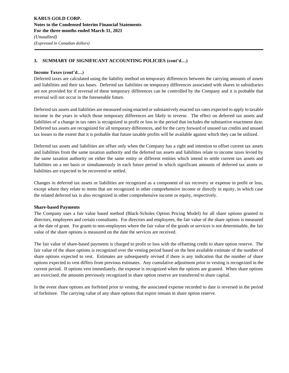#### **Income Taxes (cont'd…)**

Deferred taxes are calculated using the liability method on temporary differences between the carrying amounts of assets and liabilities and their tax bases. Deferred tax liabilities on temporary differences associated with shares in subsidiaries are not provided for if reversal of these temporary differences can be controlled by the Company and it is probable that reversal will not occur in the foreseeable future.

Deferred tax assets and liabilities are measured using enacted or substantively enacted tax rates expected to apply to taxable income in the years in which those temporary differences are likely to reverse. The effect on deferred tax assets and liabilities of a change in tax rates is recognized in profit or loss in the period that includes the substantive enactment date. Deferred tax assets are recognized for all temporary differences, and for the carry forward of unused tax credits and unused tax losses to the extent that it is probable that future taxable profits will be available against which they can be utilized.

Deferred tax assets and liabilities are offset only when the Company has a right and intention to offset current tax assets and liabilities from the same taxation authority and the deferred tax assets and liabilities relate to income taxes levied by the same taxation authority on either the same entity or different entities which intend to settle current tax assets and liabilities on a net basis or simultaneously in each future period in which significant amounts of deferred tax assets or liabilities are expected to be recovered or settled.

Changes in deferred tax assets or liabilities are recognized as a component of tax recovery or expense in profit or loss, except where they relate to items that are recognized in other comprehensive income or directly in equity, in which case the related deferred tax is also recognized in other comprehensive income or equity, respectively.

#### **Share-based Payments**

The Company uses a fair value based method (Black-Scholes Option Pricing Model) for all share options granted to directors, employees and certain consultants. For directors and employees, the fair value of the share options is measured at the date of grant. For grants to non-employees where the fair value of the goods or services is not determinable, the fair value of the share options is measured on the date the services are received.

The fair value of share-based payments is charged to profit or loss with the offsetting credit to share option reserve. The fair value of the share options is recognized over the vesting period based on the best available estimate of the number of share options expected to vest. Estimates are subsequently revised if there is any indication that the number of share options expected to vest differs from previous estimates. Any cumulative adjustment prior to vesting is recognized in the current period. If options vest immediately, the expense is recognized when the options are granted. When share options are exercised, the amounts previously recognized in share option reserve are transferred to share capital.

In the event share options are forfeited prior to vesting, the associated expense recorded to date is reversed in the period of forfeiture. The carrying value of any share options that expire remain in share option reserve.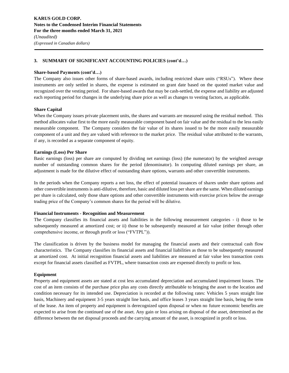#### **Share-based Payments (cont'd…)**

The Company also issues other forms of share-based awards, including restricted share units ("RSUs"). Where these instruments are only settled in shares, the expense is estimated on grant date based on the quoted market value and recognized over the vesting period. For share-based awards that may be cash-settled, the expense and liability are adjusted each reporting period for changes in the underlying share price as well as changes to vesting factors, as applicable.

#### **Share Capital**

When the Company issues private placement units, the shares and warrants are measured using the residual method. This method allocates value first to the more easily measurable component based on fair value and the residual to the less easily measurable component. The Company considers the fair value of its shares issued to be the more easily measurable component of a unit and they are valued with reference to the market price. The residual value attributed to the warrants, if any, is recorded as a separate component of equity.

#### **Earnings (Loss) Per Share**

Basic earnings (loss) per share are computed by dividing net earnings (loss) (the numerator) by the weighted average number of outstanding common shares for the period (denominator). In computing diluted earnings per share, an adjustment is made for the dilutive effect of outstanding share options, warrants and other convertible instruments.

In the periods when the Company reports a net loss, the effect of potential issuances of shares under share options and other convertible instruments is anti-dilutive, therefore, basic and diluted loss per share are the same. When diluted earnings per share is calculated, only those share options and other convertible instruments with exercise prices below the average trading price of the Company's common shares for the period will be dilutive.

#### **Financial Instruments - Recognition and Measurement**

The Company classifies its financial assets and liabilities in the following measurement categories - i) those to be subsequently measured at amortized cost; or ii) those to be subsequently measured at fair value (either through other comprehensive income, or through profit or loss ("FVTPL")).

The classification is driven by the business model for managing the financial assets and their contractual cash flow characteristics. The Company classifies its financial assets and financial liabilities as those to be subsequently measured at amortized cost. At initial recognition financial assets and liabilities are measured at fair value less transaction costs except for financial assets classified as FVTPL, where transaction costs are expensed directly to profit or loss.

#### **Equipment**

Property and equipment assets are stated at cost less accumulated depreciation and accumulated impairment losses. The cost of an item consists of the purchase price plus any costs directly attributable to bringing the asset to the location and condition necessary for its intended use. Depreciation is recorded at the following rates: Vehicles 5 years straight line basis, Machinery and equipment 3-5 years straight line basis, and office leases 3 years straight line basis, being the term of the lease. An item of property and equipment is derecognized upon disposal or when no future economic benefits are expected to arise from the continued use of the asset. Any gain or loss arising on disposal of the asset, determined as the difference between the net disposal proceeds and the carrying amount of the asset, is recognized in profit or loss.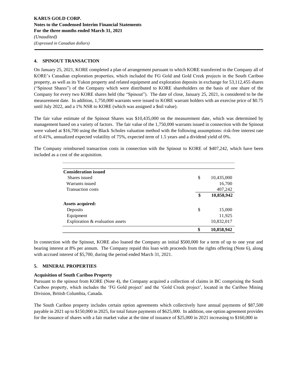# **4. SPINOUT TRANSACTION**

On January 25, 2021, KORE completed a plan of arrangement pursuant to which KORE transferred to the Company all of KORE's Canadian exploration properties, which included the FG Gold and Gold Creek projects in the South Cariboo property, as well as its Yukon property and related equipment and exploration deposits in exchange for 53,112,455 shares ("Spinout Shares") of the Company which were distributed to KORE shareholders on the basis of one share of the Company for every two KORE shares held (the "Spinout"). The date of close, January 25, 2021, is considered to be the measurement date. In addition, 1,750,000 warrants were issued to KORE warrant holders with an exercise price of \$0.75 until July 2022, and a 1% NSR to KORE (which was assigned a \$nil value).

The fair value estimate of the Spinout Shares was \$10,435,000 on the measurement date, which was determined by management based on a variety of factors. The fair value of the 1,750,000 warrants issued in connection with the Spinout were valued at \$16,700 using the Black Scholes valuation method with the following assumptions: risk-free interest rate of 0.41%, annualized expected volatility of 75%, expected term of 1.5 years and a dividend yield of 0%.

The Company reimbursed transaction costs in connection with the Spinout to KORE of \$407,242, which have been included as a cost of the acquisition.

| <b>Consideration issued</b>     |                  |
|---------------------------------|------------------|
| Shares issued                   | \$<br>10,435,000 |
| Warrants issued                 | 16,700           |
| <b>Transaction costs</b>        | 407,242          |
|                                 | \$<br>10,858,942 |
| <b>Assets acquired:</b>         |                  |
| Deposits                        | \$<br>15,000     |
| Equipment                       | 11,925           |
| Exploration & evaluation assets | 10,832,017       |
|                                 | \$<br>10,858,942 |

In connection with the Spinout, KORE also loaned the Company an initial \$500,000 for a term of up to one year and bearing interest at 8% per annum. The Company repaid this loan with proceeds from the rights offering (Note 6), along with accrued interest of \$5,700, during the period ended March 31, 2021.

#### **5. MINERAL PROPERTIES**

#### **Acquisition of South Cariboo Property**

Pursuant to the spinout from KORE (Note 4), the Company acquired a collection of claims in BC comprising the South Cariboo property, which includes the 'FG Gold project' and the 'Gold Creek project', located in the Cariboo Mining Division, British Columbia, Canada.

The South Cariboo property includes certain option agreements which collectively have annual payments of \$87,500 payable in 2021 up to \$150,000 in 2025, for total future payments of \$625,000. In addition, one option agreement provides for the issuance of shares with a fair market value at the time of issuance of \$25,000 in 2021 increasing to \$160,000 in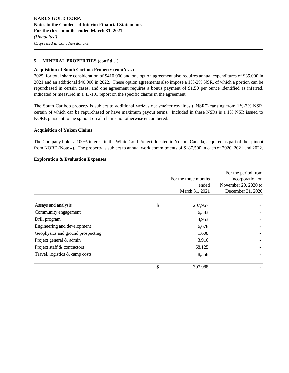# **5. MINERAL PROPERTIES (cont'd…)**

## **Acquisition of South Cariboo Property (cont'd…)**

2025, for total share consideration of \$410,000 and one option agreement also requires annual expenditures of \$35,000 in 2021 and an additional \$40,000 in 2022. These option agreements also impose a 1%-2% NSR, of which a portion can be repurchased in certain cases, and one agreement requires a bonus payment of \$1.50 per ounce identified as inferred, indicated or measured in a 43-101 report on the specific claims in the agreement.

The South Cariboo property is subject to additional various net smelter royalties ("NSR") ranging from 1%-3% NSR, certain of which can be repurchased or have maximum payout terms. Included in these NSRs is a 1% NSR issued to KORE pursuant to the spinout on all claims not otherwise encumbered.

#### **Acquisition of Yukon Claims**

The Company holds a 100% interest in the White Gold Project, located in Yukon, Canada, acquired as part of the spinout from KORE (Note 4). The property is subject to annual work commitments of \$187,500 in each of 2020, 2021 and 2022.

#### **Exploration & Evaluation Expenses**

|                                   | For the three months<br>ended<br>March 31, 2021 | For the period from<br>incorporation on<br>November 20, 2020 to<br>December 31, 2020 |
|-----------------------------------|-------------------------------------------------|--------------------------------------------------------------------------------------|
|                                   |                                                 |                                                                                      |
| Assays and analysis               | \$<br>207,967                                   |                                                                                      |
| Community engagement              | 6,383                                           |                                                                                      |
| Drill program                     | 4,953                                           |                                                                                      |
| Engineering and development       | 6,678                                           |                                                                                      |
| Geophysics and ground prospecting | 1,608                                           |                                                                                      |
| Project general & admin           | 3,916                                           |                                                                                      |
| Project staff & contractors       | 68,125                                          |                                                                                      |
| Travel, logistics $\&$ camp costs | 8,358                                           |                                                                                      |
|                                   | \$<br>307,988                                   |                                                                                      |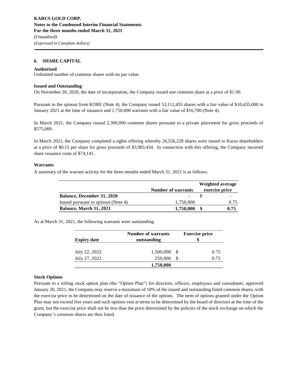#### **6. SHARE CAPITAL**

#### **Authorized**

Unlimited number of common shares with no par value.

#### **Issued and Outstanding**

On November 20, 2020, the date of incorporation, the Company issued one common share at a price of \$1.00.

Pursuant to the spinout from KORE (Note 4), the Company issued 53,112,455 shares with a fair value of \$10,435,000 in January 2021 at the time of issuance and 1,750,000 warrants with a fair value of \$16,700 (Note 4).

In March 2021, the Company issued 2,300,000 common shares pursuant to a private placement for gross proceeds of \$575,000.

In March 2021, the Company completed a rights offering whereby 26,556,228 shares were issued to Karus shareholders at a price of \$0.15 per share for gross proceeds of \$3,983,434. In connection with this offering, the Company incurred share issuance costs of \$74,141.

#### **Warrants**

A summary of the warrant activity for the three months ended March 31, 2021 is as follows:

|                                     |                           | Weighted average |
|-------------------------------------|---------------------------|------------------|
|                                     | <b>Number of warrants</b> | exercise price   |
| <b>Balance, December 31, 2020</b>   | -                         | -                |
| Issued pursuant to spinout (Note 4) | 1,750,000                 | 0.75             |
| <b>Balance, March 31, 2021</b>      | 1,750,000                 | 0.75             |

As at March 31, 2021, the following warrants were outstanding:

|                    | <b>Number of warrants</b> |      | <b>Exercise price</b> |
|--------------------|---------------------------|------|-----------------------|
| <b>Expiry date</b> | outstanding               |      |                       |
| July 22, 2022      | 1,500,000                 | - \$ | 0.75                  |
| July 27, 2022      | 250,000                   | -S   | 0.75                  |
|                    | 1,750,000                 |      |                       |

#### **Stock Options**

Pursuant to a rolling stock option plan (the "Option Plan") for directors, officers, employees and consultants, approved January 20, 2021, the Company may reserve a maximum of 10% of the issued and outstanding listed common shares, with the exercise price to be determined on the date of issuance of the options. The term of options granted under the Option Plan may not exceed five years and such options vest at terms to be determined by the board of directors at the time of the grant, but the exercise price shall not be less than the price determined by the policies of the stock exchange on which the Company's common shares are then listed.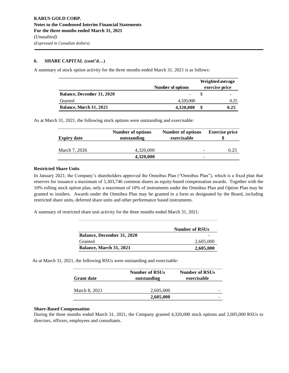## **6. SHARE CAPITAL (cont'd…)**

A summary of stock option activity for the three months ended March 31, 2021 is as follows:

|                                   | Number of options | Weighted average<br>exercise price |
|-----------------------------------|-------------------|------------------------------------|
| <b>Balance, December 31, 2020</b> | $\qquad \qquad$   |                                    |
| Granted                           | 4,320,000         | 0.25                               |
| <b>Balance, March 31, 2021</b>    | 4,320,000         | 0.25                               |

As at March 31, 2021, the following stock options were outstanding and exercisable:

| Number of options | Number of options | <b>Exercise price</b> |
|-------------------|-------------------|-----------------------|
| outstanding       | exercisable       |                       |
|                   |                   |                       |
| 4,320,000         |                   | 0.25                  |
| 4,320,000         | -                 |                       |
|                   |                   |                       |

#### **Restricted Share Units**

In January 2021, the Company's shareholders approved the Omnibus Plan ("Omnibus Plan"), which is a fixed plan that reserves for issuance a maximum of 5,303,746 common shares as equity-based compensation awards. Together with the 10% rolling stock option plan, only a maximum of 10% of instruments under the Omnibus Plan and Option Plan may be granted to insiders. Awards under the Omnibus Plan may be granted in a form as designated by the Board, including restricted share units, deferred share units and other performance based instruments.

A summary of restricted share unit activity for the three months ended March 31, 2021:

|                                   | <b>Number of RSUs</b> |
|-----------------------------------|-----------------------|
| <b>Balance, December 31, 2020</b> | -                     |
| Granted                           | 2.605.000             |
| Balance, March 31, 2021           | 2,605,000             |

As at March 31, 2021, the following RSUs were outstanding and exercisable:

| <b>Grant date</b> | <b>Number of RSUs</b><br>outstanding | <b>Number of RSUs</b><br>exercisable |
|-------------------|--------------------------------------|--------------------------------------|
| March 8, 2021     | 2,605,000                            |                                      |
|                   | 2,605,000                            |                                      |

#### **Share-Based Compensation**

During the three months ended March 31, 2021, the Company granted 4,320,000 stock options and 2,605,000 RSUs to directors, officers, employees and consultants.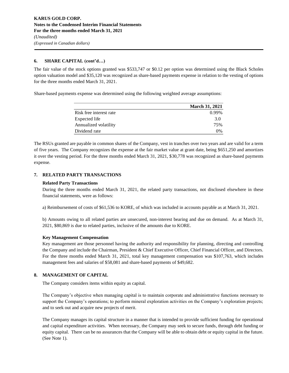# **6. SHARE CAPITAL (cont'd…)**

The fair value of the stock options granted was \$533,747 or \$0.12 per option was determined using the Black Scholes option valuation model and \$35,120 was recognized as share-based payments expense in relation to the vesting of options for the three months ended March 31, 2021.

Share-based payments expense was determined using the following weighted average assumptions:

|                         | <b>March 31, 2021</b> |
|-------------------------|-----------------------|
| Risk free interest rate | 0.99%                 |
| Expected life           | 3.0                   |
| Annualized volatility   | 75%                   |
| Dividend rate           | $0\%$                 |

The RSUs granted are payable in common shares of the Company, vest in tranches over two years and are valid for a term of five years. The Company recognizes the expense at the fair market value at grant date, being \$651,250 and amortizes it over the vesting period. For the three months ended March 31, 2021, \$30,778 was recognized as share-based payments expense.

# **7. RELATED PARTY TRANSACTIONS**

## **Related Party Transactions**

During the three months ended March 31, 2021, the related party transactions, not disclosed elsewhere in these financial statements, were as follows:

a) Reimbursement of costs of \$61,536 to KORE, of which was included in accounts payable as at March 31, 2021.

b) Amounts owing to all related parties are unsecured, non-interest bearing and due on demand. As at March 31, 2021, \$80,869 is due to related parties, inclusive of the amounts due to KORE.

# **Key Management Compensation**

Key management are those personnel having the authority and responsibility for planning, directing and controlling the Company and include the Chairman, President & Chief Executive Officer, Chief Financial Officer, and Directors. For the three months ended March 31, 2021, total key management compensation was \$107,763, which includes management fees and salaries of \$58,081 and share-based payments of \$49,682.

# **8. MANAGEMENT OF CAPITAL**

The Company considers items within equity as capital.

The Company's objective when managing capital is to maintain corporate and administrative functions necessary to support the Company's operations; to perform mineral exploration activities on the Company's exploration projects; and to seek out and acquire new projects of merit.

The Company manages its capital structure in a manner that is intended to provide sufficient funding for operational and capital expenditure activities. When necessary, the Company may seek to secure funds, through debt funding or equity capital. There can be no assurances that the Company will be able to obtain debt or equity capital in the future. (See Note 1).